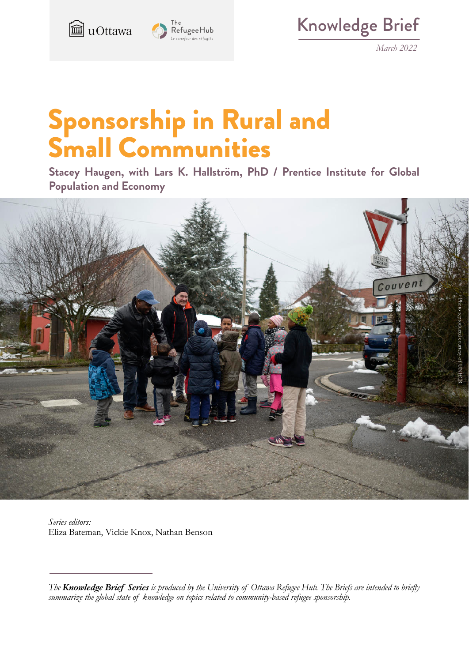

Knowledge Brief

*March 2022*

# Sponsorship in Rural and Small Communities

**Stacey Haugen, with Lars K. Hallström, PhD / Prentice Institute for Global Population and Economy**



*Series editors:* Eliza Bateman, Vickie Knox, Nathan Benson

*The Knowledge Brief Series is produced by the University of Ottawa Refugee Hub. The Briefs are intended to briefly summarize the global state of knowledge on topics related to community-based refugee sponsorship.*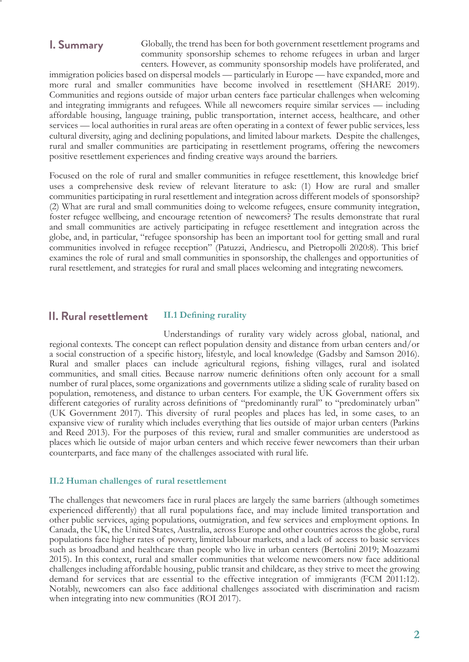## **I. Summary**

Globally, the trend has been for both government resettlement programs and community sponsorship schemes to rehome refugees in urban and larger centers. However, as community sponsorship models have proliferated, and

immigration policies based on dispersal models — particularly in Europe — have expanded, more and more rural and smaller communities have become involved in resettlement (SHARE 2019). Communities and regions outside of major urban centers face particular challenges when welcoming and integrating immigrants and refugees. While all newcomers require similar services — including affordable housing, language training, public transportation, internet access, healthcare, and other services — local authorities in rural areas are often operating in a context of fewer public services, less cultural diversity, aging and declining populations, and limited labour markets. Despite the challenges, rural and smaller communities are participating in resettlement programs, offering the newcomers positive resettlement experiences and finding creative ways around the barriers.

Focused on the role of rural and smaller communities in refugee resettlement, this knowledge brief uses a comprehensive desk review of relevant literature to ask: (1) How are rural and smaller communities participating in rural resettlement and integration across different models of sponsorship? (2) What are rural and small communities doing to welcome refugees, ensure community integration, foster refugee wellbeing, and encourage retention of newcomers? The results demonstrate that rural and small communities are actively participating in refugee resettlement and integration across the globe, and, in particular, "refugee sponsorship has been an important tool for getting small and rural communities involved in refugee reception" (Patuzzi, Andriescu, and Pietropolli 2020:8). This brief examines the role of rural and small communities in sponsorship, the challenges and opportunities of rural resettlement, and strategies for rural and small places welcoming and integrating newcomers.

#### **II.1 Defining rurality II. Rural resettlement**

Understandings of rurality vary widely across global, national, and regional contexts. The concept can reflect population density and distance from urban centers and/or a social construction of a specific history, lifestyle, and local knowledge (Gadsby and Samson 2016). Rural and smaller places can include agricultural regions, fishing villages, rural and isolated communities, and small cities. Because narrow numeric definitions often only account for a small number of rural places, some organizations and governments utilize a sliding scale of rurality based on population, remoteness, and distance to urban centers. For example, the UK Government offers six different categories of rurality across definitions of "predominantly rural" to "predominately urban" (UK Government 2017). This diversity of rural peoples and places has led, in some cases, to an expansive view of rurality which includes everything that lies outside of major urban centers (Parkins and Reed 2013). For the purposes of this review, rural and smaller communities are understood as places which lie outside of major urban centers and which receive fewer newcomers than their urban counterparts, and face many of the challenges associated with rural life.

#### **II.2 Human challenges of rural resettlement**

The challenges that newcomers face in rural places are largely the same barriers (although sometimes experienced differently) that all rural populations face, and may include limited transportation and other public services, aging populations, outmigration, and few services and employment options. In Canada, the UK, the United States, Australia, across Europe and other countries across the globe, rural populations face higher rates of poverty, limited labour markets, and a lack of access to basic services such as broadband and healthcare than people who live in urban centers (Bertolini 2019; Moazzami 2015). In this context, rural and smaller communities that welcome newcomers now face additional challenges including affordable housing, public transit and childcare, as they strive to meet the growing demand for services that are essential to the effective integration of immigrants (FCM 2011:12). Notably, newcomers can also face additional challenges associated with discrimination and racism when integrating into new communities (ROI 2017).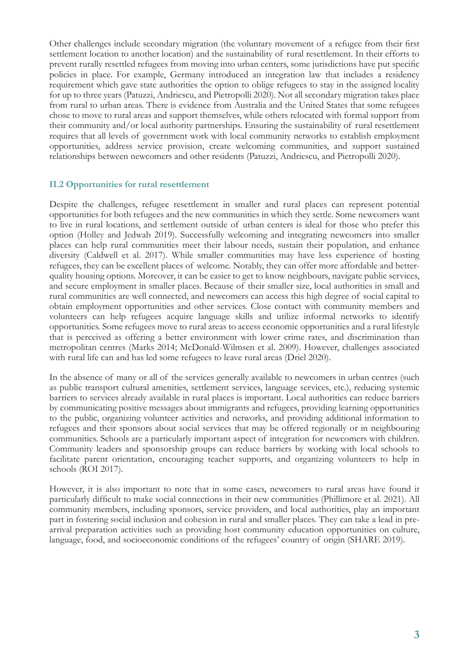Other challenges include secondary migration (the voluntary movement of a refugee from their first settlement location to another location) and the sustainability of rural resettlement. In their efforts to prevent rurally resettled refugees from moving into urban centers, some jurisdictions have put specific policies in place. For example, Germany introduced an integration law that includes a residency requirement which gave state authorities the option to oblige refugees to stay in the assigned locality for up to three years (Patuzzi, Andriescu, and Pietropolli 2020). Not all secondary migration takes place from rural to urban areas. There is evidence from Australia and the United States that some refugees chose to move to rural areas and support themselves, while others relocated with formal support from their community and/or local authority partnerships. Ensuring the sustainability of rural resettlement requires that all levels of government work with local community networks to establish employment opportunities, address service provision, create welcoming communities, and support sustained relationships between newcomers and other residents (Patuzzi, Andriescu, and Pietropolli 2020).

#### **II.2 Opportunities for rural resettlement**

Despite the challenges, refugee resettlement in smaller and rural places can represent potential opportunities for both refugees and the new communities in which they settle. Some newcomers want to live in rural locations, and settlement outside of urban centers is ideal for those who prefer this option (Holley and Jedwab 2019). Successfully welcoming and integrating newcomers into smaller places can help rural communities meet their labour needs, sustain their population, and enhance diversity (Caldwell et al. 2017). While smaller communities may have less experience of hosting refugees, they can be excellent places of welcome. Notably, they can offer more affordable and betterquality housing options. Moreover, it can be easier to get to know neighbours, navigate public services, and secure employment in smaller places. Because of their smaller size, local authorities in small and rural communities are well connected, and newcomers can access this high degree of social capital to obtain employment opportunities and other services. Close contact with community members and volunteers can help refugees acquire language skills and utilize informal networks to identify opportunities. Some refugees move to rural areas to access economic opportunities and a rural lifestyle that is perceived as offering a better environment with lower crime rates, and discrimination than metropolitan centres (Marks 2014; McDonald-Wilmsen et al. 2009). However, challenges associated with rural life can and has led some refugees to leave rural areas (Driel 2020).

In the absence of many or all of the services generally available to newcomers in urban centres (such as public transport cultural amenities, settlement services, language services, etc.), reducing systemic barriers to services already available in rural places is important. Local authorities can reduce barriers by communicating positive messages about immigrants and refugees, providing learning opportunities to the public, organizing volunteer activities and networks, and providing additional information to refugees and their sponsors about social services that may be offered regionally or in neighbouring communities. Schools are a particularly important aspect of integration for newcomers with children. Community leaders and sponsorship groups can reduce barriers by working with local schools to facilitate parent orientation, encouraging teacher supports, and organizing volunteers to help in schools (ROI 2017).

However, it is also important to note that in some cases, newcomers to rural areas have found it particularly difficult to make social connections in their new communities (Phillimore et al. 2021). All community members, including sponsors, service providers, and local authorities, play an important part in fostering social inclusion and cohesion in rural and smaller places. They can take a lead in prearrival preparation activities such as providing host community education opportunities on culture, language, food, and socioeconomic conditions of the refugees' country of origin (SHARE 2019).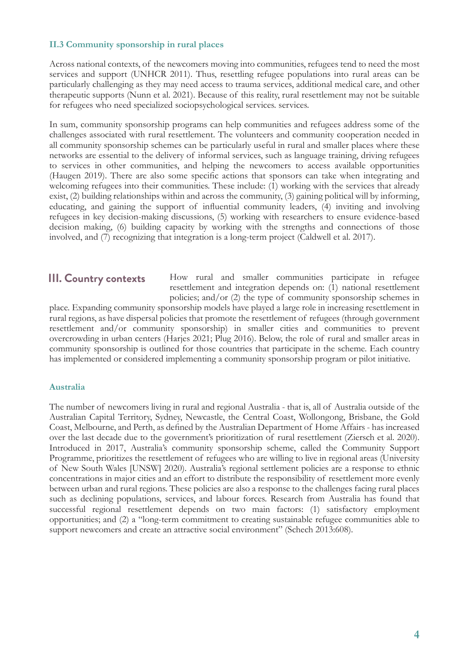#### **II.3 Community sponsorship in rural places**

Across national contexts, of the newcomers moving into communities, refugees tend to need the most services and support (UNHCR 2011). Thus, resettling refugee populations into rural areas can be particularly challenging as they may need access to trauma services, additional medical care, and other therapeutic supports (Nunn et al. 2021). Because of this reality, rural resettlement may not be suitable for refugees who need specialized sociopsychological services. services.

In sum, community sponsorship programs can help communities and refugees address some of the challenges associated with rural resettlement. The volunteers and community cooperation needed in all community sponsorship schemes can be particularly useful in rural and smaller places where these networks are essential to the delivery of informal services, such as language training, driving refugees to services in other communities, and helping the newcomers to access available opportunities (Haugen 2019). There are also some specific actions that sponsors can take when integrating and welcoming refugees into their communities. These include: (1) working with the services that already exist, (2) building relationships within and across the community, (3) gaining political will by informing, educating, and gaining the support of influential community leaders, (4) inviting and involving refugees in key decision-making discussions, (5) working with researchers to ensure evidence-based decision making, (6) building capacity by working with the strengths and connections of those involved, and (7) recognizing that integration is a long-term project (Caldwell et al. 2017).

## **III. Country contexts**

How rural and smaller communities participate in refugee resettlement and integration depends on: (1) national resettlement policies; and/or (2) the type of community sponsorship schemes in

place. Expanding community sponsorship models have played a large role in increasing resettlement in rural regions, as have dispersal policies that promote the resettlement of refugees (through government resettlement and/or community sponsorship) in smaller cities and communities to prevent overcrowding in urban centers (Harjes 2021; Plug 2016). Below, the role of rural and smaller areas in community sponsorship is outlined for those countries that participate in the scheme. Each country has implemented or considered implementing a community sponsorship program or pilot initiative.

### **Australia**

The number of newcomers living in rural and regional Australia - that is, all of Australia outside of the Australian Capital Territory, Sydney, Newcastle, the Central Coast, Wollongong, Brisbane, the Gold Coast, Melbourne, and Perth, as defined by the Australian Department of Home Affairs - has increased over the last decade due to the government's prioritization of rural resettlement (Ziersch et al. 2020). Introduced in 2017, Australia's community sponsorship scheme, called the Community Support Programme, prioritizes the resettlement of refugees who are willing to live in regional areas (University of New South Wales [UNSW] 2020). Australia's regional settlement policies are a response to ethnic concentrations in major cities and an effort to distribute the responsibility of resettlement more evenly between urban and rural regions. These policies are also a response to the challenges facing rural places such as declining populations, services, and labour forces. Research from Australia has found that successful regional resettlement depends on two main factors: (1) satisfactory employment opportunities; and (2) a "long-term commitment to creating sustainable refugee communities able to support newcomers and create an attractive social environment" (Schech 2013:608).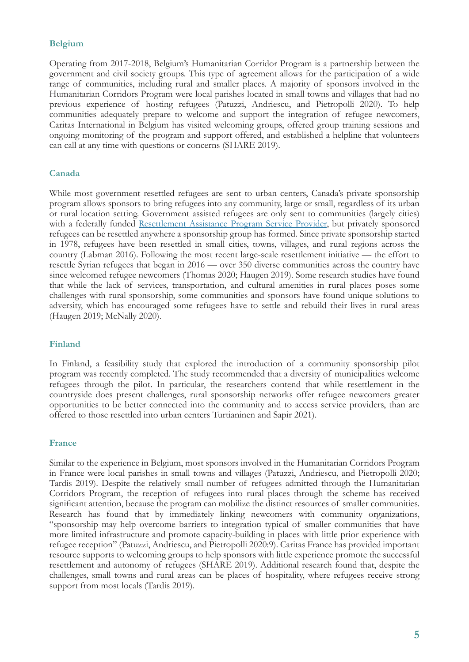#### **Belgium**

Operating from 2017-2018, Belgium's Humanitarian Corridor Program is a partnership between the government and civil society groups. This type of agreement allows for the participation of a wide range of communities, including rural and smaller places. A majority of sponsors involved in the Humanitarian Corridors Program were local parishes located in small towns and villages that had no previous experience of hosting refugees (Patuzzi, Andriescu, and Pietropolli 2020). To help communities adequately prepare to welcome and support the integration of refugee newcomers, Caritas International in Belgium has visited welcoming groups, offered group training sessions and ongoing monitoring of the program and support offered, and established a helpline that volunteers can call at any time with questions or concerns (SHARE 2019).

#### **Canada**

While most government resettled refugees are sent to urban centers, Canada's private sponsorship program allows sponsors to bring refugees into any community, large or small, regardless of its urban or rural location setting. Government assisted refugees are only sent to communities (largely cities) with a federally funded Resettlement Assistance Program Service Provider, but privately sponsored refugees can be resettled anywhere a sponsorship group has formed. Since private sponsorship started in 1978, refugees have been resettled in small cities, towns, villages, and rural regions across the country (Labman 2016). Following the most recent large-scale resettlement initiative — the effort to resettle Syrian refugees that began in 2016 — over 350 diverse communities across the country have since welcomed refugee newcomers (Thomas 2020; Haugen 2019). Some research studies have found that while the lack of services, transportation, and cultural amenities in rural places poses some challenges with rural sponsorship, some communities and sponsors have found unique solutions to adversity, which has encouraged some refugees have to settle and rebuild their lives in rural areas (Haugen 2019; McNally 2020).

#### **Finland**

In Finland, a feasibility study that explored the introduction of a community sponsorship pilot program was recently completed. The study recommended that a diversity of municipalities welcome refugees through the pilot. In particular, the researchers contend that while resettlement in the countryside does present challenges, rural sponsorship networks offer refugee newcomers greater opportunities to be better connected into the community and to access service providers, than are offered to those resettled into urban centers Turtianinen and Sapir 2021).

#### **France**

Similar to the experience in Belgium, most sponsors involved in the Humanitarian Corridors Program in France were local parishes in small towns and villages (Patuzzi, Andriescu, and Pietropolli 2020; Tardis 2019). Despite the relatively small number of refugees admitted through the Humanitarian Corridors Program, the reception of refugees into rural places through the scheme has received significant attention, because the program can mobilize the distinct resources of smaller communities. Research has found that by immediately linking newcomers with community organizations, "sponsorship may help overcome barriers to integration typical of smaller communities that have more limited infrastructure and promote capacity-building in places with little prior experience with refugee reception" (Patuzzi, Andriescu, and Pietropolli 2020:9). Caritas France has provided important resource supports to welcoming groups to help sponsors with little experience promote the successful resettlement and autonomy of refugees (SHARE 2019). Additional research found that, despite the challenges, small towns and rural areas can be places of hospitality, where refugees receive strong support from most locals (Tardis 2019).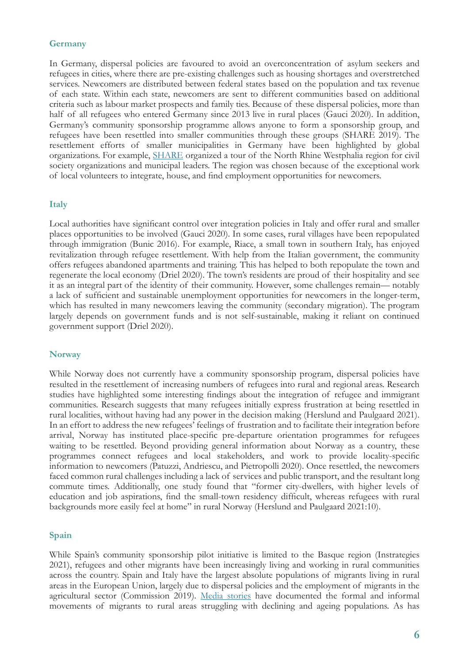#### **Germany**

In Germany, dispersal policies are favoured to avoid an overconcentration of asylum seekers and refugees in cities, where there are pre-existing challenges such as housing shortages and overstretched services. Newcomers are distributed between federal states based on the population and tax revenue of each state. Within each state, newcomers are sent to different communities based on additional criteria such as labour market prospects and family ties. Because of these dispersal policies, more than half of all refugees who entered Germany since 2013 live in rural places (Gauci 2020). In addition, Germany's community sponsorship programme allows anyone to form a sponsorship group, and refugees have been resettled into smaller communities through these groups (SHARE 2019). The resettlement efforts of smaller municipalities in Germany have been highlighted by global organizations. For example, SHARE organized a tour of the North Rhine Westphalia region for civil society organizations and municipal leaders. The region was chosen because of the exceptional work of local volunteers to integrate, house, and find employment opportunities for newcomers.

#### **Italy**

Local authorities have significant control over integration policies in Italy and offer rural and smaller places opportunities to be involved (Gauci 2020). In some cases, rural villages have been repopulated through immigration (Bunic 2016). For example, Riace, a small town in southern Italy, has enjoyed revitalization through refugee resettlement. With help from the Italian government, the community offers refugees abandoned apartments and training. This has helped to both repopulate the town and regenerate the local economy (Driel 2020). The town's residents are proud of their hospitality and see it as an integral part of the identity of their community. However, some challenges remain— notably a lack of sufficient and sustainable unemployment opportunities for newcomers in the longer-term, which has resulted in many newcomers leaving the community (secondary migration). The program largely depends on government funds and is not self-sustainable, making it reliant on continued government support (Driel 2020).

#### **Norway**

While Norway does not currently have a community sponsorship program, dispersal policies have resulted in the resettlement of increasing numbers of refugees into rural and regional areas. Research studies have highlighted some interesting findings about the integration of refugee and immigrant communities. Research suggests that many refugees initially express frustration at being resettled in rural localities, without having had any power in the decision making (Herslund and Paulgaard 2021). In an effort to address the new refugees' feelings of frustration and to facilitate their integration before arrival, Norway has instituted place-specific pre-departure orientation programmes for refugees waiting to be resettled. Beyond providing general information about Norway as a country, these programmes connect refugees and local stakeholders, and work to provide locality-specific information to newcomers (Patuzzi, Andriescu, and Pietropolli 2020). Once resettled, the newcomers faced common rural challenges including a lack of services and public transport, and the resultant long commute times. Additionally, one study found that "former city-dwellers, with higher levels of education and job aspirations, find the small-town residency difficult, whereas refugees with rural backgrounds more easily feel at home" in rural Norway (Herslund and Paulgaard 2021:10).

#### **Spain**

While Spain's community sponsorship pilot initiative is limited to the Basque region (Instrategies 2021), refugees and other migrants have been increasingly living and working in rural communities across the country. Spain and Italy have the largest absolute populations of migrants living in rural areas in the European Union, largely due to dispersal policies and the employment of migrants in the agricultural sector (Commission 2019). Media stories have documented the formal and informal movements of migrants to rural areas struggling with declining and ageing populations. As has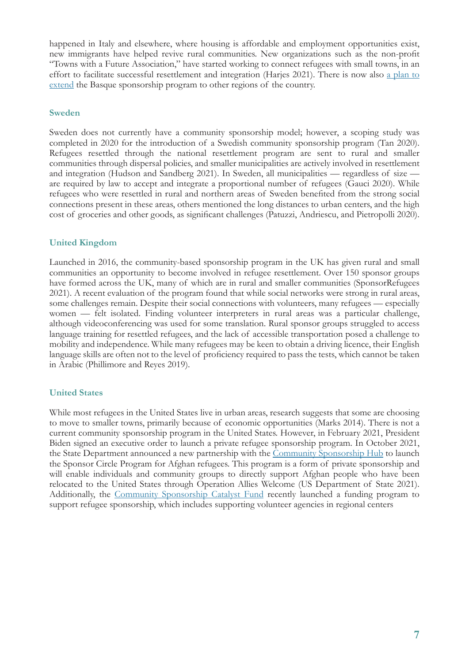happened in Italy and elsewhere, where housing is affordable and employment opportunities exist, new immigrants have helped revive rural communities. New organizations such as the non-profit "Towns with a Future Association," have started working to connect refugees with small towns, in an effort to facilitate successful resettlement and integration (Harjes 2021). There is now also a plan to extend the Basque sponsorship program to other regions of the country.

#### **Sweden**

Sweden does not currently have a community sponsorship model; however, a scoping study was completed in 2020 for the introduction of a Swedish community sponsorship program (Tan 2020). Refugees resettled through the national resettlement program are sent to rural and smaller communities through dispersal policies, and smaller municipalities are actively involved in resettlement and integration (Hudson and Sandberg 2021). In Sweden, all municipalities — regardless of size are required by law to accept and integrate a proportional number of refugees (Gauci 2020). While refugees who were resettled in rural and northern areas of Sweden benefited from the strong social connections present in these areas, others mentioned the long distances to urban centers, and the high cost of groceries and other goods, as significant challenges (Patuzzi, Andriescu, and Pietropolli 2020).

#### **United Kingdom**

Launched in 2016, the community-based sponsorship program in the UK has given rural and small communities an opportunity to become involved in refugee resettlement. Over 150 sponsor groups have formed across the UK, many of which are in rural and smaller communities (SponsorRefugees 2021). A recent evaluation of the program found that while social networks were strong in rural areas, some challenges remain. Despite their social connections with volunteers, many refugees — especially women — felt isolated. Finding volunteer interpreters in rural areas was a particular challenge, although videoconferencing was used for some translation. Rural sponsor groups struggled to access language training for resettled refugees, and the lack of accessible transportation posed a challenge to mobility and independence. While many refugees may be keen to obtain a driving licence, their English language skills are often not to the level of proficiency required to pass the tests, which cannot be taken in Arabic (Phillimore and Reyes 2019).

#### **United States**

While most refugees in the United States live in urban areas, research suggests that some are choosing to move to smaller towns, primarily because of economic opportunities (Marks 2014). There is not a current community sponsorship program in the United States. However, in February 2021, President Biden signed an executive order to launch a private refugee sponsorship program. In October 2021, the State Department announced a new partnership with the Community Sponsorship Hub to launch the Sponsor Circle Program for Afghan refugees. This program is a form of private sponsorship and will enable individuals and community groups to directly support Afghan people who have been relocated to the United States through Operation Allies Welcome (US Department of State 2021). Additionally, the Community Sponsorship Catalyst Fund recently launched a funding program to support refugee sponsorship, which includes supporting volunteer agencies in regional centers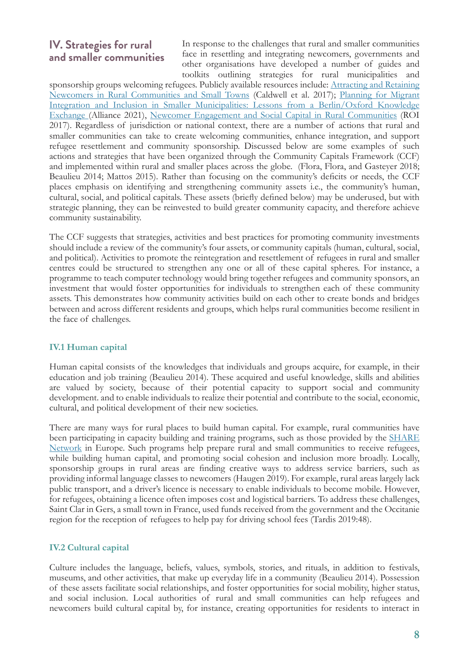## **IV. Strategies for rural and smaller communities**

In response to the challenges that rural and smaller communities face in resettling and integrating newcomers, governments and other organisations have developed a number of guides and toolkits outlining strategies for rural municipalities and

sponsorship groups welcoming refugees. Publicly available resources include: Attracting and Retaining Newcomers in Rural Communities and Small Towns (Caldwell et al. 2017); Planning for Migrant Integration and Inclusion in Smaller Municipalities: Lessons from a Berlin/Oxford Knowledge Exchange (Alliance 2021), Newcomer Engagement and Social Capital in Rural Communities (ROI 2017). Regardless of jurisdiction or national context, there are a number of actions that rural and smaller communities can take to create welcoming communities, enhance integration, and support refugee resettlement and community sponsorship. Discussed below are some examples of such actions and strategies that have been organized through the Community Capitals Framework (CCF) and implemented within rural and smaller places across the globe. (Flora, Flora, and Gasteyer 2018; Beaulieu 2014; Mattos 2015). Rather than focusing on the community's deficits or needs, the CCF places emphasis on identifying and strengthening community assets i.e., the community's human, cultural, social, and political capitals. These assets (briefly defined below) may be underused, but with strategic planning, they can be reinvested to build greater community capacity, and therefore achieve community sustainability.

The CCF suggests that strategies, activities and best practices for promoting community investments should include a review of the community's four assets, or community capitals (human, cultural, social, and political). Activities to promote the reintegration and resettlement of refugees in rural and smaller centres could be structured to strengthen any one or all of these capital spheres. For instance, a programme to teach computer technology would bring together refugees and community sponsors, an investment that would foster opportunities for individuals to strengthen each of these community assets. This demonstrates how community activities build on each other to create bonds and bridges between and across different residents and groups, which helps rural communities become resilient in the face of challenges.

### **IV.1 Human capital**

Human capital consists of the knowledges that individuals and groups acquire, for example, in their education and job training (Beaulieu 2014). These acquired and useful knowledge, skills and abilities are valued by society, because of their potential capacity to support social and community development. and to enable individuals to realize their potential and contribute to the social, economic, cultural, and political development of their new societies.

There are many ways for rural places to build human capital. For example, rural communities have been participating in capacity building and training programs, such as those provided by the **SHARE** Network in Europe. Such programs help prepare rural and small communities to receive refugees, while building human capital, and promoting social cohesion and inclusion more broadly. Locally, sponsorship groups in rural areas are finding creative ways to address service barriers, such as providing informal language classes to newcomers (Haugen 2019). For example, rural areas largely lack public transport, and a driver's licence is necessary to enable individuals to become mobile. However, for refugees, obtaining a licence often imposes cost and logistical barriers. To address these challenges, Saint Clar in Gers, a small town in France, used funds received from the government and the Occitanie region for the reception of refugees to help pay for driving school fees (Tardis 2019:48).

### **IV.2 Cultural capital**

Culture includes the language, beliefs, values, symbols, stories, and rituals, in addition to festivals, museums, and other activities, that make up everyday life in a community (Beaulieu 2014). Possession of these assets facilitate social relationships, and foster opportunities for social mobility, higher status, and social inclusion. Local authorities of rural and small communities can help refugees and newcomers build cultural capital by, for instance, creating opportunities for residents to interact in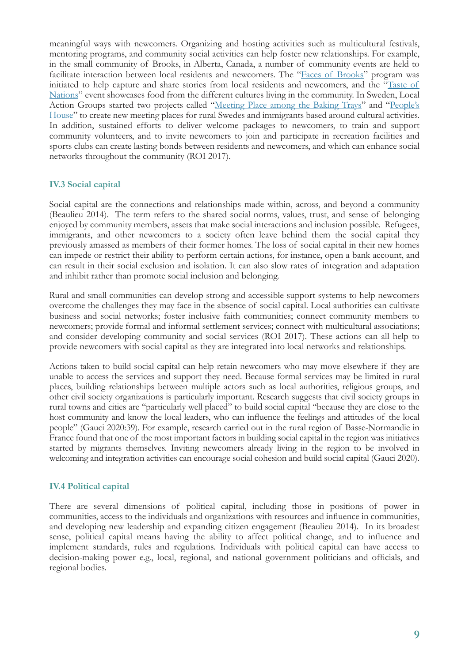meaningful ways with newcomers. Organizing and hosting activities such as multicultural festivals, mentoring programs, and community social activities can help foster new relationships. For example, in the small community of Brooks, in Alberta, Canada, a number of community events are held to facilitate interaction between local residents and newcomers. The "Faces of Brooks" program was initiated to help capture and share stories from local residents and newcomers, and the "Taste of Nations" event showcases food from the different cultures living in the community. In Sweden, Local Action Groups started two projects called "Meeting Place among the Baking Trays" and "People's House" to create new meeting places for rural Swedes and immigrants based around cultural activities. In addition, sustained efforts to deliver welcome packages to newcomers, to train and support community volunteers, and to invite newcomers to join and participate in recreation facilities and sports clubs can create lasting bonds between residents and newcomers, and which can enhance social networks throughout the community (ROI 2017).

#### **IV.3 Social capital**

Social capital are the connections and relationships made within, across, and beyond a community (Beaulieu 2014). The term refers to the shared social norms, values, trust, and sense of belonging enjoyed by community members, assets that make social interactions and inclusion possible. Refugees, immigrants, and other newcomers to a society often leave behind them the social capital they previously amassed as members of their former homes. The loss of social capital in their new homes can impede or restrict their ability to perform certain actions, for instance, open a bank account, and can result in their social exclusion and isolation. It can also slow rates of integration and adaptation and inhibit rather than promote social inclusion and belonging.

Rural and small communities can develop strong and accessible support systems to help newcomers overcome the challenges they may face in the absence of social capital. Local authorities can cultivate business and social networks; foster inclusive faith communities; connect community members to newcomers; provide formal and informal settlement services; connect with multicultural associations; and consider developing community and social services (ROI 2017). These actions can all help to provide newcomers with social capital as they are integrated into local networks and relationships.

Actions taken to build social capital can help retain newcomers who may move elsewhere if they are unable to access the services and support they need. Because formal services may be limited in rural places, building relationships between multiple actors such as local authorities, religious groups, and other civil society organizations is particularly important. Research suggests that civil society groups in rural towns and cities are "particularly well placed" to build social capital "because they are close to the host community and know the local leaders, who can influence the feelings and attitudes of the local people" (Gauci 2020:39). For example, research carried out in the rural region of Basse-Normandie in France found that one of the most important factors in building social capital in the region was initiatives started by migrants themselves. Inviting newcomers already living in the region to be involved in welcoming and integration activities can encourage social cohesion and build social capital (Gauci 2020).

#### **IV.4 Political capital**

There are several dimensions of political capital, including those in positions of power in communities, access to the individuals and organizations with resources and influence in communities, and developing new leadership and expanding citizen engagement (Beaulieu 2014). In its broadest sense, political capital means having the ability to affect political change, and to influence and implement standards, rules and regulations. Individuals with political capital can have access to decision-making power e.g., local, regional, and national government politicians and officials, and regional bodies.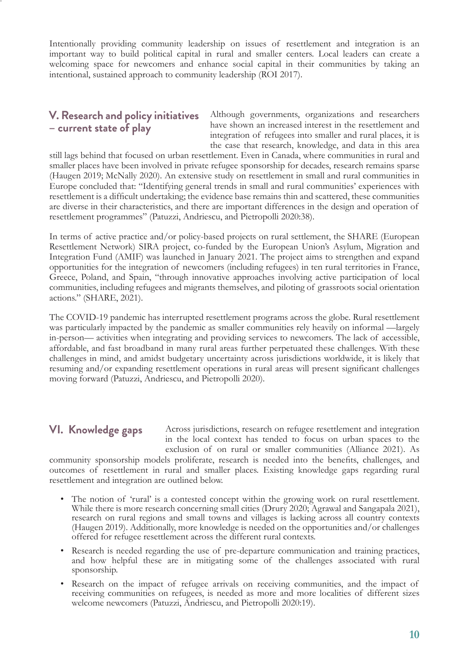Intentionally providing community leadership on issues of resettlement and integration is an important way to build political capital in rural and smaller centers. Local leaders can create a welcoming space for newcomers and enhance social capital in their communities by taking an intentional, sustained approach to community leadership (ROI 2017).

## **V. Research and policy initiatives – current state of play**

Although governments, organizations and researchers have shown an increased interest in the resettlement and integration of refugees into smaller and rural places, it is the case that research, knowledge, and data in this area

still lags behind that focused on urban resettlement. Even in Canada, where communities in rural and smaller places have been involved in private refugee sponsorship for decades, research remains sparse (Haugen 2019; McNally 2020). An extensive study on resettlement in small and rural communities in Europe concluded that: "Identifying general trends in small and rural communities' experiences with resettlement is a difficult undertaking; the evidence base remains thin and scattered, these communities are diverse in their characteristics, and there are important differences in the design and operation of resettlement programmes" (Patuzzi, Andriescu, and Pietropolli 2020:38).

In terms of active practice and/or policy-based projects on rural settlement, the SHARE (European Resettlement Network) SIRA project, co-funded by the European Union's Asylum, Migration and Integration Fund (AMIF) was launched in January 2021. The project aims to strengthen and expand opportunities for the integration of newcomers (including refugees) in ten rural territories in France, Greece, Poland, and Spain, "through innovative approaches involving active participation of local communities, including refugees and migrants themselves, and piloting of grassroots social orientation actions." (SHARE, 2021).

The COVID-19 pandemic has interrupted resettlement programs across the globe. Rural resettlement was particularly impacted by the pandemic as smaller communities rely heavily on informal —largely in-person— activities when integrating and providing services to newcomers. The lack of accessible, affordable, and fast broadband in many rural areas further perpetuated these challenges. With these challenges in mind, and amidst budgetary uncertainty across jurisdictions worldwide, it is likely that resuming and/or expanding resettlement operations in rural areas will present significant challenges moving forward (Patuzzi, Andriescu, and Pietropolli 2020).

## **VI. Knowledge gaps**

Across jurisdictions, research on refugee resettlement and integration in the local context has tended to focus on urban spaces to the exclusion of on rural or smaller communities (Alliance 2021). As

community sponsorship models proliferate, research is needed into the benefits, challenges, and outcomes of resettlement in rural and smaller places. Existing knowledge gaps regarding rural resettlement and integration are outlined below.

- The notion of 'rural' is a contested concept within the growing work on rural resettlement. While there is more research concerning small cities (Drury 2020; Agrawal and Sangapala 2021), research on rural regions and small towns and villages is lacking across all country contexts (Haugen 2019). Additionally, more knowledge is needed on the opportunities and/or challenges offered for refugee resettlement across the different rural contexts.
- Research is needed regarding the use of pre-departure communication and training practices, and how helpful these are in mitigating some of the challenges associated with rural sponsorship.
- Research on the impact of refugee arrivals on receiving communities, and the impact of receiving communities on refugees, is needed as more and more localities of different sizes welcome newcomers (Patuzzi, Andriescu, and Pietropolli 2020:19).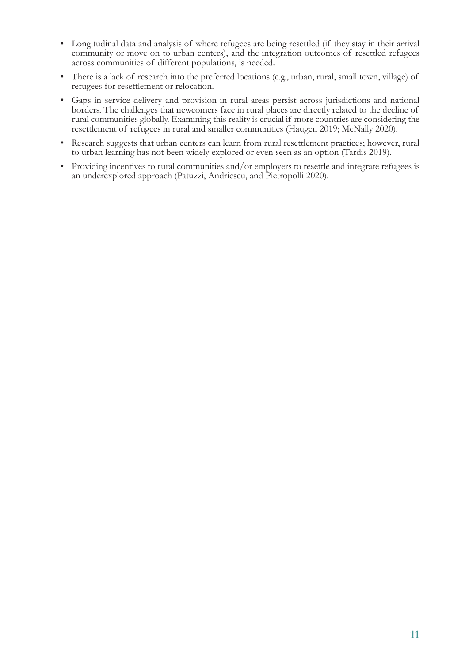- Longitudinal data and analysis of where refugees are being resettled (if they stay in their arrival community or move on to urban centers), and the integration outcomes of resettled refugees across communities of different populations, is needed.
- There is a lack of research into the preferred locations (e.g., urban, rural, small town, village) of refugees for resettlement or relocation.
- Gaps in service delivery and provision in rural areas persist across jurisdictions and national borders. The challenges that newcomers face in rural places are directly related to the decline of rural communities globally. Examining this reality is crucial if more countries are considering the resettlement of refugees in rural and smaller communities (Haugen 2019; McNally 2020).
- Research suggests that urban centers can learn from rural resettlement practices; however, rural to urban learning has not been widely explored or even seen as an option (Tardis 2019).
- Providing incentives to rural communities and/or employers to resettle and integrate refugees is an underexplored approach (Patuzzi, Andriescu, and Pietropolli 2020).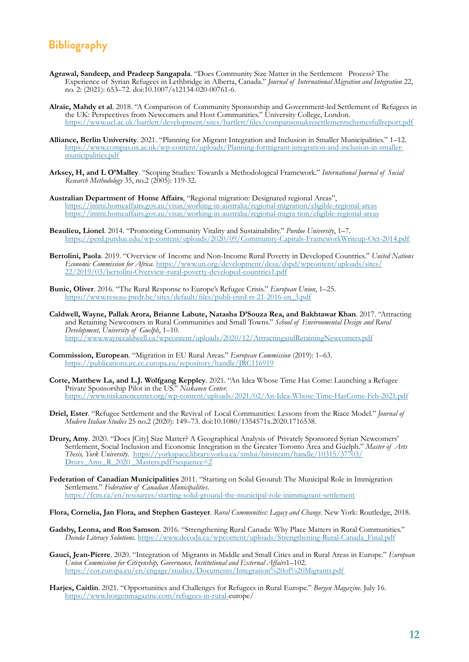## **Bibliography**

- **Agrawal, Sandeep, and Pradeep Sangapala**. "Does Community Size Matter in the Settlement Process? The Experience of Syrian Refugees in Lethbridge in Alberta, Canada." *Journal of International Migration and Integration* 22, no. 2: (2021): 653–72. doi:10.1007/s12134-020-00761-6.
- **Alraie, Mahdy et al**. 2018. "A Comparison of Community Sponsorship and Government-led Settlement of Refugees in the UK: Perspectives from Newcomers and Host Communities." University College, London. <https://www.ucl.ac.uk/bartlett/development/sites/bartlett/files/comparisonukresett>lementschemesfullreport.pdf
- **Alliance, Berlin University**. 2021. "Planning for Migrant Integration and Inclusion in Smaller Municipalities." 1–12. [https://www.compas.ox.ac.uk/wp-content/uploads/Planning-formigrant-integration-and-inclusion-in-smaller](https://www.compas.ox.ac.uk/wp-content/uploads/Planning-for-migrant-integration-and-inclusion-in-smaller-municipalities.pdf)[municipalities.pdf](https://www.compas.ox.ac.uk/wp-content/uploads/Planning-for-migrant-integration-and-inclusion-in-smaller-municipalities.pdf)
- **Arksey, H, and L O'Malley**. "Scoping Studies: Towards a Methodological Framework." *International Journal of Social Research Methodology* 35, no.2 (2005): 119-32.
- **Australian Department of Home Affairs**, "Regional migration: Designated regional Areas", [https://immi.homeaffairs.gov.au/visas/working-in-australia/regional-migration/eligible-regional-areas](https://immi.homeaffairs.gov.au/visas/working-in-australia/regional-migration/eligible-%09regional-areashttps://immi.homeaffairs.gov.au/visas/working-in-australia/regional-migra%20tion/eligible-regional-areas) [https://immi.homeaffairs.gov.au/visas/working-in-australia/regional-migra tion/eligible-regional-areas](https://immi.homeaffairs.gov.au/visas/working-in-australia/regional-migration/eligible-%09regional-areashttps://immi.homeaffairs.gov.au/visas/working-in-australia/regional-migra%20tion/eligible-regional-areas)
- **Beaulieu, Lionel**. 2014. "Promoting Community Vitality and Sustainability." *Purdue University*, 1–7. <https://pcrd.purdue.edu/wp>[-content/uploads/2020/09/Community-Capitals-FrameworkWriteup-Oct-2014.pdf](https://pcrd.purdue.edu/wp-content/uploads/2020/09/Community-Capitals-Framework-Writeup-Oct-2014.pdf)
- **Bertolini, Paola**. 2019. "Overview of Income and Non-Income Rural Poverty in Developed Countries." *United Nations Economic Commission for Africa*. [https://www.un.org/development/desa/dspd/wpcontent/uploads/sites/](https://www.un.org/development/desa/dspd/wp-content/uploads/sites/22/2019/03/bertolini-Overview-rural-poverty-developed-countries-1.pdf) [22/2019/03/bertolini-Overview-rural-poverty-developed-countries1.pdf](https://www.un.org/development/desa/dspd/wp-content/uploads/sites/22/2019/03/bertolini-Overview-rural-poverty-developed-countries-1.pdf)
- **Bunic, Oliver**. 2016. "The Rural Response to Europe's Refugee Crisis." *European Union*, 1–25. [https://www.reseau-pwdr.be/sites/default/files/publi-enrd-rr-21-2016-en\\_3.pdf](https://www.reseau-pwdr.be/sites/default/files/publi-enrd-rr-21-2016-en_3.pdf)
- **Caldwell, Wayne, Pallak Arora, Brianne Labute, Natasha D'Souza Rea, and Bakhtawar Khan**. 2017. "Attracting and Retaining Newcomers in Rural Communities and Small Towns." *School of Environmental Design and Rural Development, University of Guelph*, 1–10. <http://www.waynecaldwell.ca/wp>[content/uploads/2020/12/AttractingandRetainingNewcomers.pdf](http://www.waynecaldwell.ca/wp-content/uploads/2020/12/AttractingandRetainingNewcomers.pdf)
- **Commission, European**. "Migration in EU Rural Areas." *European Commission* (2019): 1–63. <https://publications.jrc.ec.europa.eu/repository/handle/JRC116919>
- **Corte, Matthew La, and L.J. Wolfgang Keppley**. 2021. "An Idea Whose Time Has Come: Launching a Refugee Private Sponsorship Pilot in the US." *Niskanen Center*. [https://www.niskanencenter.org/wp-content/uploads/2021/02/An-Idea-Whose-Time-HasCome-Feb-2021.pdf](https://www.niskanencenter.org/wp-content/uploads/2021/02/An-Idea-Whose-Time-Has-Come-Feb-2021.pdf)
- **Driel, Ester**. "Refugee Settlement and the Revival of Local Communities: Lessons from the Riace Model." *Journal of Modern Italian Studies* 25 no.2 (2020): 149–73. doi:10.1080/1354571x.2020.1716538.
- **Drury, Amy**. 2020. "Does [City] Size Matter? A Geographical Analysis of Privately Sponsored Syrian Newcomers' Settlement, Social Inclusion and Economic Integration in the Greater Toronto Area and Guelph." *Master of Arts Thesis, York University*. [https://yorkspace.library.yorku.ca/xmlui/bitstream/handle/10315/37703/](https://yorkspace.library.yorku.ca/xmlui/bitstream/handle/10315/37703/Drury_Amy_R_2020_Masters.pdf?sequence=2) Drury Amy R 2020 Masters.pdf?sequence=2
- **Federation of Canadian Municipalities** 2011. "Starting on Solid Ground: The Municipal Role in Immigration Settlement." *Federation of Canadian Municipalities*. <https://fcm.ca/en/resources/starting>[-solid-ground-the-municipal-role-inimmigrant-settlement](https://fcm.ca/en/resources/starting-solid-ground-the-municipal-role-in-immigrant-settlement)
- **Flora, Cornelia, Jan Flora, and Stephen Gasteyer**. *Rural Communities: Legacy and Change*. New York: Routledge, 2018.
- **Gadsby, Leona, and Ron Samson**. 2016. "Strengthening Rural Canada: Why Place Matters in Rural Communities." *Decoda Literacy Solutions*. <https://www.decoda.ca/wp>[content/uploads/Strengthening-Rural-Canada\\_Final.pdf](https://www.decoda.ca/wp-content/uploads/Strengthening-Rural-Canada_Final.pdf)
- **Gauci, Jean-Pierre**. 2020. "Integration of Migrants in Middle and Small Cities and in Rural Areas in Europe." *European Union Commission for Citizenship, Governance, Institutional and External Affairs*1–102. <https://cor.europa.eu/en/engage/studies/Documents/Integration%20of%20Migrants.pdf>
- **Harjes, Caitlin**. 2021. "Opportunities and Challenges for Refugees in Rural Europe." *Borgen Magazine*. July 16. <https://www.borgenmagazine.com/refugees-in-rural-europe/>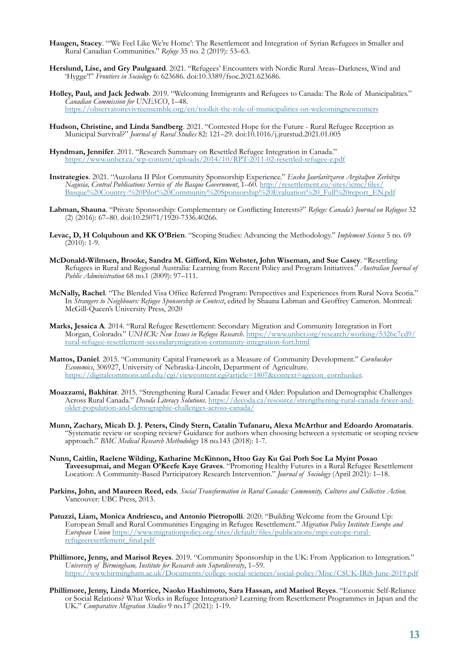- **Haugen, Stacey**. "'We Feel Like We're Home': The Resettlement and Integration of Syrian Refugees in Smaller and Rural Canadian Communities." *Refuge* 35 no. 2 (2019): 53–63.
- **Herslund, Lise, and Gry Paulgaard**. 2021. "Refugees' Encounters with Nordic Rural Areas–Darkness, Wind and 'Hygge'!" *Frontiers in Sociology* 6: 623686. doi:10.3389/fsoc.2021.623686.
- **Holley, Paul, and Jack Jedwab**. 2019. "Welcoming Immigrants and Refugees to Canada: The Role of Municipalities." *Canadian Commission for UNESCO*, 1–48. [https://observatoirevivreensemble.org/en/toolkit-the-role-of-municipalities-on-welcomingnewcomers](https://observatoirevivreensemble.org/en/toolkit-the-role-of-municipalities-on-welcoming-newcomers)
- **Hudson, Christine, and Linda Sandberg**. 2021. "Contested Hope for the Future Rural Refugee Reception as Municipal Survival?" *Journal of Rural Studies* 82: 121–29. doi:10.1016/j.jrurstud.2021.01.005
- **Hyndman, Jennifer**. 2011. "Research Summary on Resettled Refugee Integration in Canada." <https://www.unhcr.ca/wp-content/uploads/2014/10/RPT-2011-02-resettled-refugee-e.pdf>
- **Instrategies**. 2021. "Auzolana II Pilot Community Sponsorship Experience." *Eusko Jaurlaritzaren Argitalpen Zerbitzu Nagusia, Central Publications Service of the Basque Government*, 1–60. [http://resettlement.eu/sites/icmc/files/](http://resettlement.eu/sites/icmc/files/Basque%20Country-%20Pilot%20Community%20Sponsorship%20Evaluation%20_Full%20report_EN.pdf) [Basque%20Country-%20Pilot%20Community%20Sponsorship%20Evaluation%20\\_Full%20report\\_EN.pdf](http://resettlement.eu/sites/icmc/files/Basque%20Country-%20Pilot%20Community%20Sponsorship%20Evaluation%20_Full%20report_EN.pdf)
- **Labman, Shauna**. "Private Sponsorship: Complementary or Conflicting Interests?" *Refuge: Canada's Journal on Refugees* 32 (2) (2016): 67–80. doi:10.25071/1920-7336.40266.
- **Levac, D, H Colquhoun and KK O'Brien**. "Scoping Studies: Advancing the Methodology." *Implement Science* 5 no. 69 (2010): 1-9.
- **McDonald-Wilmsen, Brooke, Sandra M. Gifford, Kim Webster, John Wiseman, and Sue Casey**. "Resettling Refugees in Rural and Regional Australia: Learning from Recent Policy and Program Initiatives." *Australian Journal of Public Administration* 68 no.1 (2009): 97–111.
- **McNally, Rachel**. "The Blended Visa Office Referred Program: Perspectives and Experiences from Rural Nova Scotia." In *Strangers to Neighbours: Refugee Sponsorship in Context*, edited by Shauna Labman and Geoffrey Cameron. Montreal: McGill-Queen's University Press, 2020
- **Marks, Jessica A**. 2014. "Rural Refugee Resettlement: Secondary Migration and Community Integration in Fort Morgan, Colorado." *UNHCR: New Issues in Refugee Research*. [https://www.unhcr.org/research/working/5326c7cd9/](https://www.unhcr.org/research/working/5326c7cd9/rural-refugee-resettlement-secondary-migration-community-integration-fort.html) [rural-refugee-resettlement-secondarymigration-community-integration-fort.html](https://www.unhcr.org/research/working/5326c7cd9/rural-refugee-resettlement-secondary-migration-community-integration-fort.html)
- **Mattos, Daniel**. 2015. "Community Capital Framework as a Measure of Community Development." *Cornhusker Economics*, 306927, University of Nebraska-Lincoln, Department of Agriculture. [https://digitalcommons.unl.edu/cgi/viewcontent.cgi?article=1807&context=agecon\\_cornhusker.](https://digitalcommons.unl.edu/cgi/viewcontent.cgi?article=1807&context=agecon_cornhusker)
- **Moazzami, Bakhitar**. 2015. "Strengthening Rural Canada: Fewer and Older: Population and Demographic Challenges Across Rural Canada." *Decoda Literacy Solutions*. [https://decoda.ca/resource/strengthening-rural-canada-fewer-and](https://decoda.ca/resource/strengthening-rural-canada-fewer-and-older-population-and-demographic-challenges-across-canada/)[older-population-and-demographic-challenges-across-canada/](https://decoda.ca/resource/strengthening-rural-canada-fewer-and-older-population-and-demographic-challenges-across-canada/)
- **Munn, Zachary, Micah D. J. Peters, Cindy Stern, Catalin Tufanaru, Alexa McArthur and Edoardo Aromataris**. "Systematic review or scoping review? Guidance for authors when choosing between a systematic or scoping review approach." *BMC Medical Research Methodology* 18 no.143 (2018): 1-7.
- **Nunn, Caitlin, Raelene Wilding, Katharine McKinnon, Htoo Gay Ku Gai Porh Soe La Myint Posao Taveesupmai, and Megan O'Keefe Kaye Graves**. "Promoting Healthy Futures in a Rural Refugee Resettlement Location: A Community-Based Participatory Research Intervention." *Journal of Sociology* (April 2021): 1–18.
- **Parkins, John, and Maureen Reed, eds**. *Social Transformation in Rural Canada: Community, Cultures and Collective Action*. Vancouver: UBC Press, 2013.
- **Patuzzi, Liam, Monica Andriescu, and Antonio Pietropolli**. 2020. "Building Welcome from the Ground Up: European Small and Rural Communities Engaging in Refugee Resettlement." *Migration Policy Institute Europe and European Union* [https://www.migrationpolicy.org/sites/default/files/publications/mpi-europe-rural](https://www.migrationpolicy.org/sites/default/files/publications/mpi-europe-rural-refugee-resettlement_final.pdf)[refugeeresettlement\\_final.pdf](https://www.migrationpolicy.org/sites/default/files/publications/mpi-europe-rural-refugee-resettlement_final.pdf)
- **Phillimore, Jenny, and Marisol Reyes**. 2019. "Community Sponsorship in the UK: From Application to Integration." *University of Birmingham, Institute for Research into Superdiversity*, 1–59. [https://www.birmingham.ac.uk/Documents/college-social-sciences/social-policy/Misc/CSUK-IRiS-June-2019.pdf](https://www.birmingham.ac.uk/Documents/college-social-sciences/social-policy/Misc/CS-UK-IRiS-June-2019.pdf)
- **Phillimore, Jenny, Linda Morrice, Naoko Hashimoto, Sara Hassan, and Marisol Reyes**. "Economic Self-Reliance or Social Relations? What Works in Refugee Integration? Learning from Resettlement Programmes in Japan and the UK." *Comparative Migration Studies* 9 no.17 (2021): 1-19.